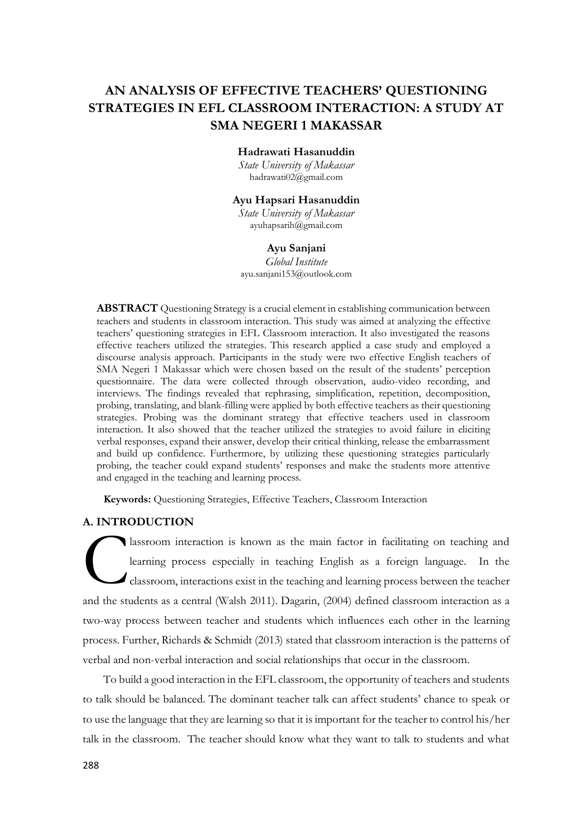# **AN ANALYSIS OF EFFECTIVE TEACHERS' QUESTIONING STRATEGIES IN EFL CLASSROOM INTERACTION: A STUDY AT SMA NEGERI 1 MAKASSAR**

#### **Hadrawati Hasanuddin**

*State University of Makassar* [hadrawati02@gmail.com](mailto:hadrawati02@gmail.com)

# **Ayu Hapsari Hasanuddin**

*State University of Makassar* [ayuhapsarih@gmail.com](mailto:ayuhapsarih@gmail.com)

#### **Ayu Sanjani**

*Global Institute* [ayu.sanjani153@outlook.com](mailto:ayu.sanjani153@outlook.com)

**ABSTRACT** Questioning Strategy is a crucial element in establishing communication between teachers and students in classroom interaction. This study was aimed at analyzing the effective teachers' questioning strategies in EFL Classroom interaction. It also investigated the reasons effective teachers utilized the strategies. This research applied a case study and employed a discourse analysis approach. Participants in the study were two effective English teachers of SMA Negeri 1 Makassar which were chosen based on the result of the students' perception questionnaire. The data were collected through observation, audio-video recording, and interviews. The findings revealed that rephrasing, simplification, repetition, decomposition, probing, translating, and blank-filling were applied by both effective teachers as their questioning strategies. Probing was the dominant strategy that effective teachers used in classroom interaction. It also showed that the teacher utilized the strategies to avoid failure in eliciting verbal responses, expand their answer, develop their critical thinking, release the embarrassment and build up confidence. Furthermore, by utilizing these questioning strategies particularly probing, the teacher could expand students' responses and make the students more attentive and engaged in the teaching and learning process.

**Keywords:** Questioning Strategies, Effective Teachers, Classroom Interaction

## **A. INTRODUCTION**

lassroom interaction is known as the main factor in facilitating on teaching and learning process especially in teaching English as a foreign language. In the classroom, interactions exist in the teaching and learning process between the teacher and the students as a central (Walsh 2011). Dagarin, (2004) defined classroom interaction as a two-way process between teacher and students which influences each other in the learning process. Further, Richards & Schmidt (2013) stated that classroom interaction is the patterns of verbal and non-verbal interaction and social relationships that occur in the classroom. C

To build a good interaction in the EFL classroom, the opportunity of teachers and students to talk should be balanced. The dominant teacher talk can affect students' chance to speak or to use the language that they are learning so that it is important for the teacher to control his/her talk in the classroom. The teacher should know what they want to talk to students and what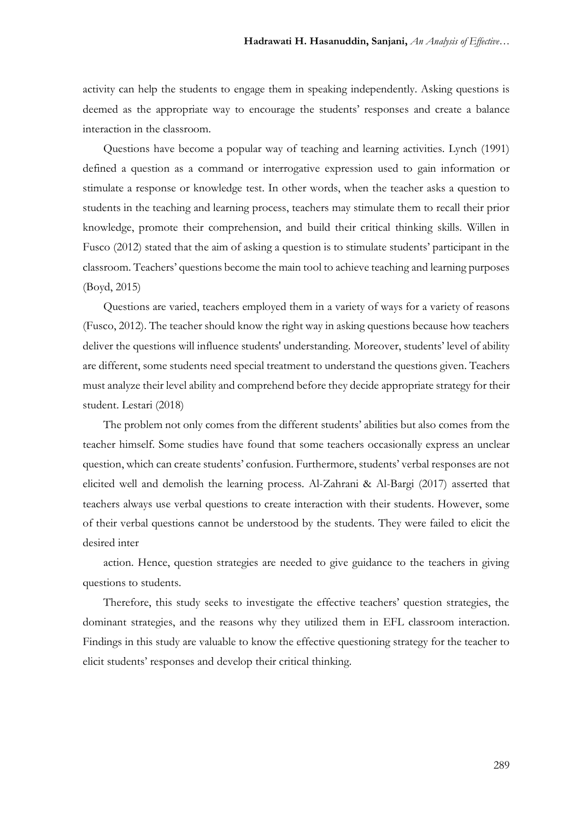activity can help the students to engage them in speaking independently. Asking questions is deemed as the appropriate way to encourage the students' responses and create a balance interaction in the classroom.

Questions have become a popular way of teaching and learning activities. Lynch (1991) defined a question as a command or interrogative expression used to gain information or stimulate a response or knowledge test. In other words, when the teacher asks a question to students in the teaching and learning process, teachers may stimulate them to recall their prior knowledge, promote their comprehension, and build their critical thinking skills. Willen in Fusco (2012) stated that the aim of asking a question is to stimulate students' participant in the classroom. Teachers' questions become the main tool to achieve teaching and learning purposes (Boyd, 2015)

Questions are varied, teachers employed them in a variety of ways for a variety of reasons (Fusco, 2012). The teacher should know the right way in asking questions because how teachers deliver the questions will influence students' understanding. Moreover, students' level of ability are different, some students need special treatment to understand the questions given. Teachers must analyze their level ability and comprehend before they decide appropriate strategy for their student. Lestari (2018)

The problem not only comes from the different students' abilities but also comes from the teacher himself. Some studies have found that some teachers occasionally express an unclear question, which can create students' confusion. Furthermore, students' verbal responses are not elicited well and demolish the learning process. Al-Zahrani & Al-Bargi (2017) asserted that teachers always use verbal questions to create interaction with their students. However, some of their verbal questions cannot be understood by the students. They were failed to elicit the desired inter

action. Hence, question strategies are needed to give guidance to the teachers in giving questions to students.

Therefore, this study seeks to investigate the effective teachers' question strategies, the dominant strategies, and the reasons why they utilized them in EFL classroom interaction. Findings in this study are valuable to know the effective questioning strategy for the teacher to elicit students' responses and develop their critical thinking.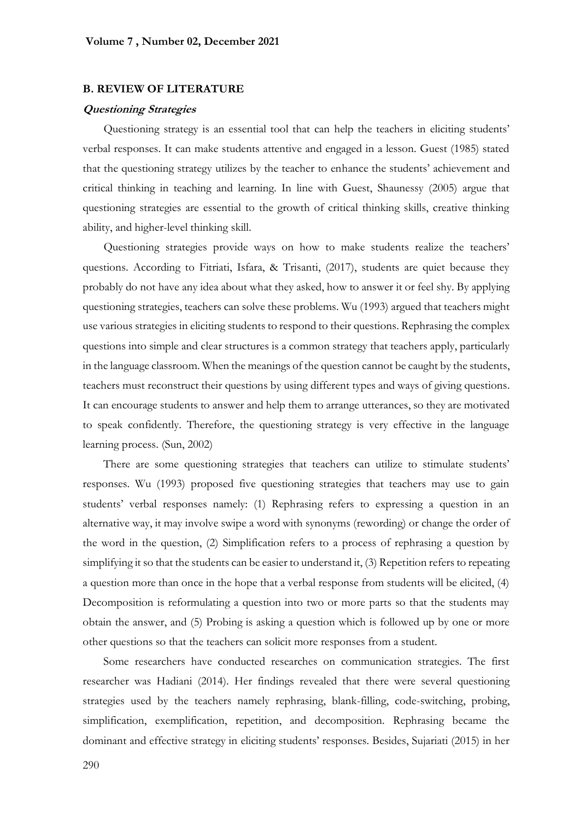#### **B. REVIEW OF LITERATURE**

#### **Questioning Strategies**

Questioning strategy is an essential tool that can help the teachers in eliciting students' verbal responses. It can make students attentive and engaged in a lesson. Guest (1985) stated that the questioning strategy utilizes by the teacher to enhance the students' achievement and critical thinking in teaching and learning. In line with Guest, Shaunessy (2005) argue that questioning strategies are essential to the growth of critical thinking skills, creative thinking ability, and higher-level thinking skill.

Questioning strategies provide ways on how to make students realize the teachers' questions. According to Fitriati, Isfara, & Trisanti, (2017), students are quiet because they probably do not have any idea about what they asked, how to answer it or feel shy. By applying questioning strategies, teachers can solve these problems. Wu (1993) argued that teachers might use various strategies in eliciting students to respond to their questions. Rephrasing the complex questions into simple and clear structures is a common strategy that teachers apply, particularly in the language classroom. When the meanings of the question cannot be caught by the students, teachers must reconstruct their questions by using different types and ways of giving questions. It can encourage students to answer and help them to arrange utterances, so they are motivated to speak confidently. Therefore, the questioning strategy is very effective in the language learning process. (Sun, 2002)

There are some questioning strategies that teachers can utilize to stimulate students' responses. Wu (1993) proposed five questioning strategies that teachers may use to gain students' verbal responses namely: (1) Rephrasing refers to expressing a question in an alternative way, it may involve swipe a word with synonyms (rewording) or change the order of the word in the question, (2) Simplification refers to a process of rephrasing a question by simplifying it so that the students can be easier to understand it, (3) Repetition refers to repeating a question more than once in the hope that a verbal response from students will be elicited, (4) Decomposition is reformulating a question into two or more parts so that the students may obtain the answer, and (5) Probing is asking a question which is followed up by one or more other questions so that the teachers can solicit more responses from a student.

Some researchers have conducted researches on communication strategies. The first researcher was Hadiani (2014). Her findings revealed that there were several questioning strategies used by the teachers namely rephrasing, blank-filling, code-switching, probing, simplification, exemplification, repetition, and decomposition. Rephrasing became the dominant and effective strategy in eliciting students' responses. Besides, Sujariati (2015) in her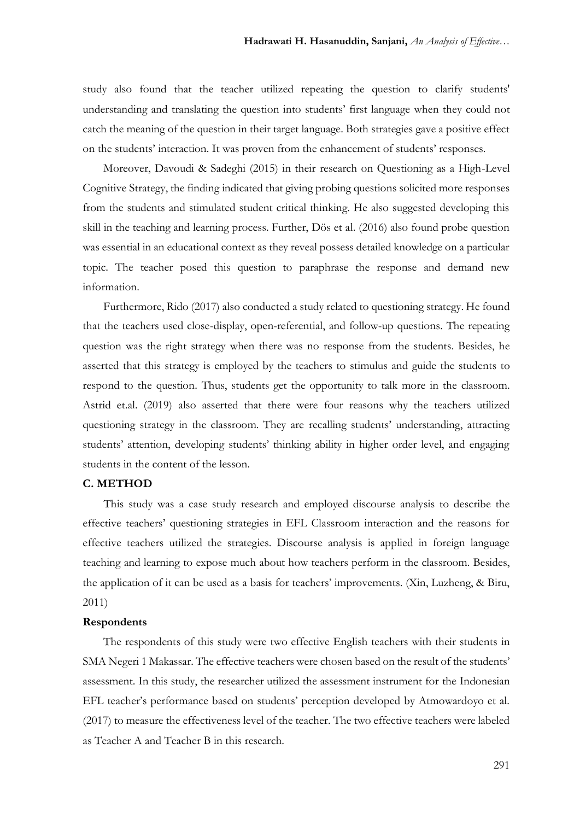study also found that the teacher utilized repeating the question to clarify students' understanding and translating the question into students' first language when they could not catch the meaning of the question in their target language. Both strategies gave a positive effect on the students' interaction. It was proven from the enhancement of students' responses.

Moreover, Davoudi & Sadeghi (2015) in their research on Questioning as a High-Level Cognitive Strategy, the finding indicated that giving probing questions solicited more responses from the students and stimulated student critical thinking. He also suggested developing this skill in the teaching and learning process. Further, Dös et al. (2016) also found probe question was essential in an educational context as they reveal possess detailed knowledge on a particular topic. The teacher posed this question to paraphrase the response and demand new information.

Furthermore, Rido (2017) also conducted a study related to questioning strategy. He found that the teachers used close-display, open-referential, and follow-up questions. The repeating question was the right strategy when there was no response from the students. Besides, he asserted that this strategy is employed by the teachers to stimulus and guide the students to respond to the question. Thus, students get the opportunity to talk more in the classroom. Astrid et.al. (2019) also asserted that there were four reasons why the teachers utilized questioning strategy in the classroom. They are recalling students' understanding, attracting students' attention, developing students' thinking ability in higher order level, and engaging students in the content of the lesson.

## **C. METHOD**

This study was a case study research and employed discourse analysis to describe the effective teachers' questioning strategies in EFL Classroom interaction and the reasons for effective teachers utilized the strategies. Discourse analysis is applied in foreign language teaching and learning to expose much about how teachers perform in the classroom. Besides, the application of it can be used as a basis for teachers' improvements. (Xin, Luzheng, & Biru, 2011)

#### **Respondents**

The respondents of this study were two effective English teachers with their students in SMA Negeri 1 Makassar. The effective teachers were chosen based on the result of the students' assessment. In this study, the researcher utilized the assessment instrument for the Indonesian EFL teacher's performance based on students' perception developed by Atmowardoyo et al. (2017) to measure the effectiveness level of the teacher. The two effective teachers were labeled as Teacher A and Teacher B in this research.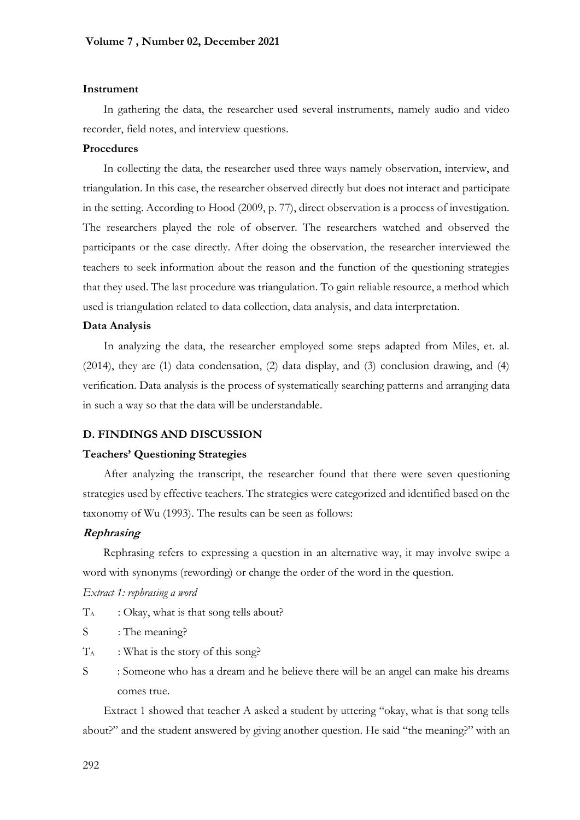#### **Instrument**

In gathering the data, the researcher used several instruments, namely audio and video recorder, field notes, and interview questions.

## **Procedures**

In collecting the data, the researcher used three ways namely observation, interview, and triangulation. In this case, the researcher observed directly but does not interact and participate in the setting. According to Hood (2009, p. 77), direct observation is a process of investigation. The researchers played the role of observer. The researchers watched and observed the participants or the case directly. After doing the observation, the researcher interviewed the teachers to seek information about the reason and the function of the questioning strategies that they used. The last procedure was triangulation. To gain reliable resource, a method which used is triangulation related to data collection, data analysis, and data interpretation.

## **Data Analysis**

In analyzing the data, the researcher employed some steps adapted from Miles, et. al. (2014), they are (1) data condensation, (2) data display, and (3) conclusion drawing, and (4) verification. Data analysis is the process of systematically searching patterns and arranging data in such a way so that the data will be understandable.

## **D. FINDINGS AND DISCUSSION**

## **Teachers' Questioning Strategies**

After analyzing the transcript, the researcher found that there were seven questioning strategies used by effective teachers. The strategies were categorized and identified based on the taxonomy of Wu (1993). The results can be seen as follows:

## **Rephrasing**

Rephrasing refers to expressing a question in an alternative way, it may involve swipe a word with synonyms (rewording) or change the order of the word in the question.

## *Extract 1: rephrasing a word*

- $T_A$  : Okay, what is that song tells about?
- S : The meaning?
- $T_A$  : What is the story of this song?
- S : Someone who has a dream and he believe there will be an angel can make his dreams comes true.

Extract 1 showed that teacher A asked a student by uttering "okay, what is that song tells about?" and the student answered by giving another question. He said "the meaning?" with an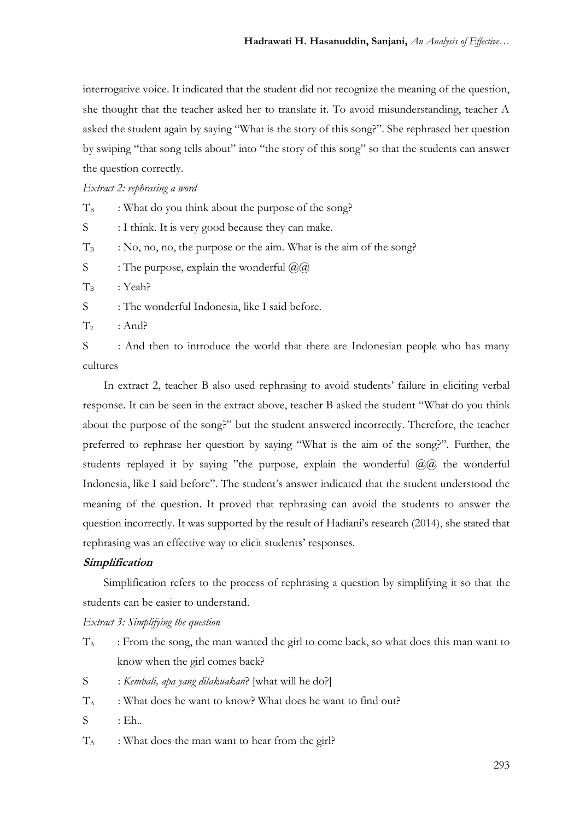interrogative voice. It indicated that the student did not recognize the meaning of the question, she thought that the teacher asked her to translate it. To avoid misunderstanding, teacher A asked the student again by saying "What is the story of this song?". She rephrased her question by swiping "that song tells about" into "the story of this song" so that the students can answer the question correctly.

#### *Extract 2: rephrasing a word*

 $T_B$  : What do you think about the purpose of the song?

S : I think. It is very good because they can make.

 $T_B$  : No, no, no, the purpose or the aim. What is the aim of the song?

S : The purpose, explain the wonderful  $(\partial \Omega)$ 

 $T_B$  : Yeah?

S : The wonderful Indonesia, like I said before.

 $T_2$  : And?

S : And then to introduce the world that there are Indonesian people who has many cultures

In extract 2, teacher B also used rephrasing to avoid students' failure in eliciting verbal response. It can be seen in the extract above, teacher B asked the student "What do you think about the purpose of the song?" but the student answered incorrectly. Therefore, the teacher preferred to rephrase her question by saying "What is the aim of the song?". Further, the students replayed it by saying "the purpose, explain the wonderful  $\omega(\omega)$  the wonderful Indonesia, like I said before". The student's answer indicated that the student understood the meaning of the question. It proved that rephrasing can avoid the students to answer the question incorrectly. It was supported by the result of Hadiani's research (2014), she stated that rephrasing was an effective way to elicit students' responses.

#### **Simplification**

Simplification refers to the process of rephrasing a question by simplifying it so that the students can be easier to understand.

## *Extract 3: Simplifying the question*

- $T_A$  : From the song, the man wanted the girl to come back, so what does this man want to know when the girl comes back?
- S : *Kembali, apa yang dilakuakan*? [what will he do?]
- T<sup>A</sup> : What does he want to know? What does he want to find out?
- $S$  : Eh..
- $T_A$  : What does the man want to hear from the girl?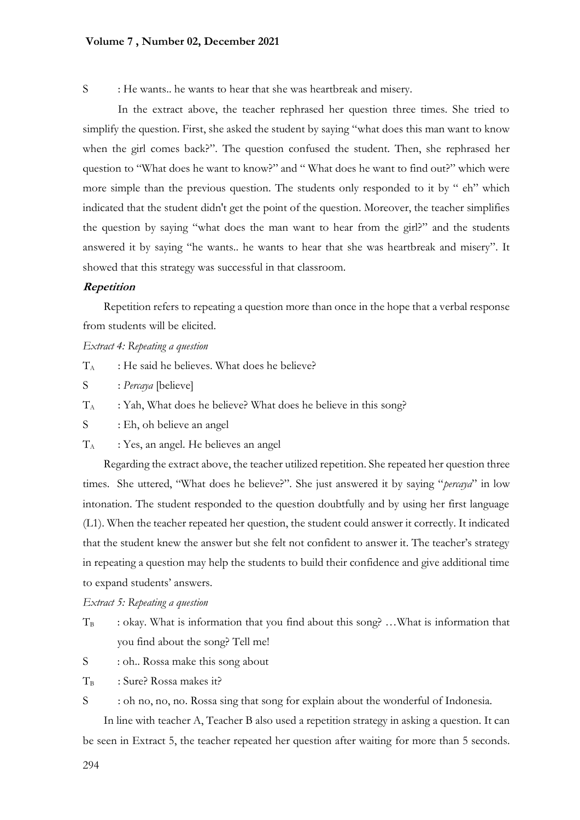### **Volume 7 , Number 02, December 2021**

S : He wants.. he wants to hear that she was heartbreak and misery.

In the extract above, the teacher rephrased her question three times. She tried to simplify the question. First, she asked the student by saying "what does this man want to know when the girl comes back?". The question confused the student. Then, she rephrased her question to "What does he want to know?" and " What does he want to find out?" which were more simple than the previous question. The students only responded to it by " eh" which indicated that the student didn't get the point of the question. Moreover, the teacher simplifies the question by saying "what does the man want to hear from the girl?" and the students answered it by saying "he wants.. he wants to hear that she was heartbreak and misery". It showed that this strategy was successful in that classroom.

## **Repetition**

Repetition refers to repeating a question more than once in the hope that a verbal response from students will be elicited.

## *Extract 4: Repeating a question*

- $T_A$  : He said he believes. What does he believe?
- S : *Percaya* [believe]
- $T_A$  : Yah, What does he believe? What does he believe in this song?
- S : Eh, oh believe an angel
- $T_A$  : Yes, an angel. He believes an angel

Regarding the extract above, the teacher utilized repetition. She repeated her question three times. She uttered, "What does he believe?". She just answered it by saying "*percaya*" in low intonation. The student responded to the question doubtfully and by using her first language (L1). When the teacher repeated her question, the student could answer it correctly. It indicated that the student knew the answer but she felt not confident to answer it. The teacher's strategy in repeating a question may help the students to build their confidence and give additional time to expand students' answers.

*Extract 5: Repeating a question*

- $T_B$  : okay. What is information that you find about this song? ... What is information that you find about the song? Tell me!
- S : oh.. Rossa make this song about
- $T_B$  : Sure? Rossa makes it?

S : oh no, no, no. Rossa sing that song for explain about the wonderful of Indonesia.

In line with teacher A, Teacher B also used a repetition strategy in asking a question. It can be seen in Extract 5, the teacher repeated her question after waiting for more than 5 seconds.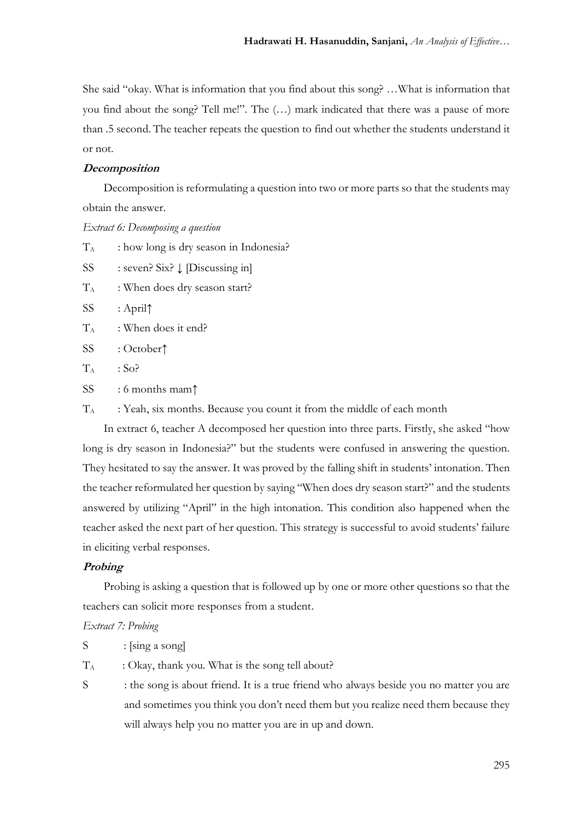She said "okay. What is information that you find about this song? …What is information that you find about the song? Tell me!". The (…) mark indicated that there was a pause of more than .5 second. The teacher repeats the question to find out whether the students understand it or not.

## **Decomposition**

Decomposition is reformulating a question into two or more parts so that the students may obtain the answer.

*Extract 6: Decomposing a question*

 $T_A$  : how long is dry season in Indonesia?

SS : seven? Six? ↓ [Discussing in]

 $T_A$  : When does dry season start?

SS : April↑

- $T_A$  : When does it end?
- SS : October↑
- $T_A$  : So?
- SS : 6 months mam↑

 $T_A$  : Yeah, six months. Because you count it from the middle of each month

In extract 6, teacher A decomposed her question into three parts. Firstly, she asked "how long is dry season in Indonesia?" but the students were confused in answering the question. They hesitated to say the answer. It was proved by the falling shift in students' intonation. Then the teacher reformulated her question by saying "When does dry season start?" and the students answered by utilizing "April" in the high intonation. This condition also happened when the teacher asked the next part of her question. This strategy is successful to avoid students' failure in eliciting verbal responses.

## **Probing**

Probing is asking a question that is followed up by one or more other questions so that the teachers can solicit more responses from a student.

#### *Extract 7: Probing*

 $S$  : [sing a song]

 $T_A$  : Okay, thank you. What is the song tell about?

S : the song is about friend. It is a true friend who always beside you no matter you are and sometimes you think you don't need them but you realize need them because they will always help you no matter you are in up and down.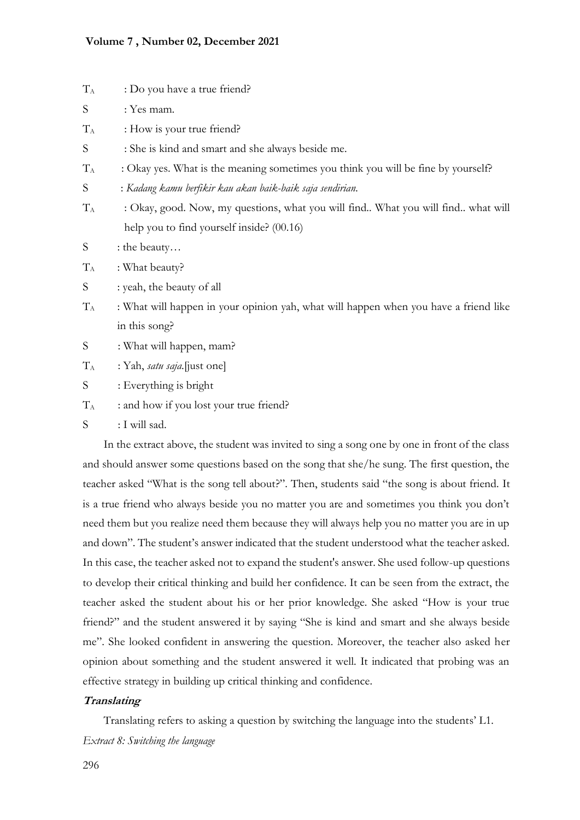## **Volume 7 , Number 02, December 2021**

| $T_A$ | : Do you have a true friend?                                                         |  |  |  |  |  |
|-------|--------------------------------------------------------------------------------------|--|--|--|--|--|
| S     | : Yes mam.                                                                           |  |  |  |  |  |
| $T_A$ | : How is your true friend?                                                           |  |  |  |  |  |
| S     | : She is kind and smart and she always beside me.                                    |  |  |  |  |  |
| $T_A$ | : Okay yes. What is the meaning sometimes you think you will be fine by yourself?    |  |  |  |  |  |
| S     | : Kadang kamu berfikir kau akan baik-baik saja sendirian.                            |  |  |  |  |  |
| $T_A$ | : Okay, good. Now, my questions, what you will find What you will find what will     |  |  |  |  |  |
|       | help you to find yourself inside? (00.16)                                            |  |  |  |  |  |
| S     | : the beauty                                                                         |  |  |  |  |  |
| $T_A$ | : What beauty?                                                                       |  |  |  |  |  |
| S     | : yeah, the beauty of all                                                            |  |  |  |  |  |
| $T_A$ | : What will happen in your opinion yah, what will happen when you have a friend like |  |  |  |  |  |
|       | in this song?                                                                        |  |  |  |  |  |
| S     | : What will happen, mam?                                                             |  |  |  |  |  |
| $T_A$ | : Yah, satu saja.[just one]                                                          |  |  |  |  |  |
| S     | : Everything is bright                                                               |  |  |  |  |  |
| $T_A$ | : and how if you lost your true friend?                                              |  |  |  |  |  |
| S     | : I will sad.                                                                        |  |  |  |  |  |

In the extract above, the student was invited to sing a song one by one in front of the class and should answer some questions based on the song that she/he sung. The first question, the teacher asked "What is the song tell about?". Then, students said "the song is about friend. It is a true friend who always beside you no matter you are and sometimes you think you don't need them but you realize need them because they will always help you no matter you are in up and down". The student's answer indicated that the student understood what the teacher asked. In this case, the teacher asked not to expand the student's answer. She used follow-up questions to develop their critical thinking and build her confidence. It can be seen from the extract, the teacher asked the student about his or her prior knowledge. She asked "How is your true friend?" and the student answered it by saying "She is kind and smart and she always beside me". She looked confident in answering the question. Moreover, the teacher also asked her opinion about something and the student answered it well. It indicated that probing was an effective strategy in building up critical thinking and confidence.

## **Translating**

Translating refers to asking a question by switching the language into the students' L1. *Extract 8: Switching the language*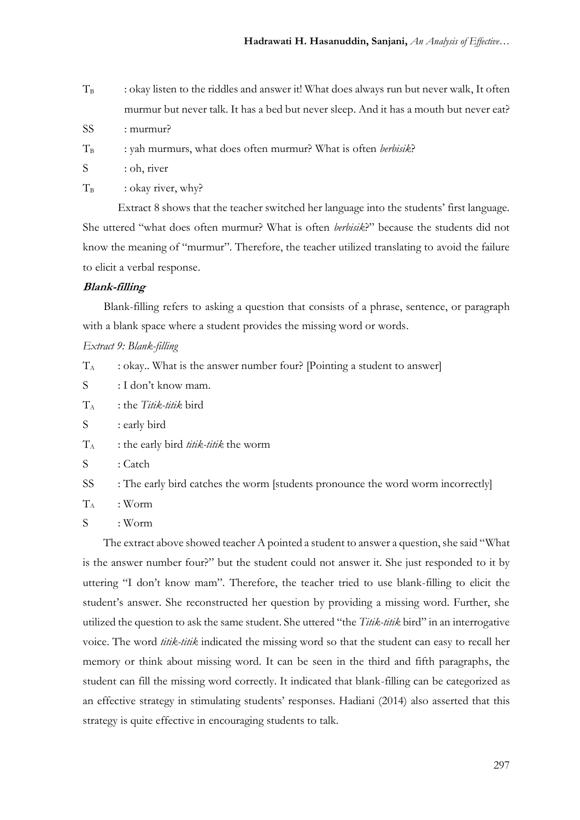- $T_B$  : okay listen to the riddles and answer it! What does always run but never walk, It often murmur but never talk. It has a bed but never sleep. And it has a mouth but never eat?
- SS : murmur?
- T<sub>B</sub> : yah murmurs, what does often murmur? What is often *berbisik*?
- S : oh, river
- $T_B$  : okay river, why?

Extract 8 shows that the teacher switched her language into the students' first language. She uttered "what does often murmur? What is often *berbisik*?" because the students did not know the meaning of "murmur". Therefore, the teacher utilized translating to avoid the failure to elicit a verbal response.

## **Blank-filling**

Blank-filling refers to asking a question that consists of a phrase, sentence, or paragraph with a blank space where a student provides the missing word or words.

## *Extract 9: Blank-filling*

- $T_A$  : okay.. What is the answer number four? [Pointing a student to answer]
- S : I don't know mam.
- T<sup>A</sup> : the *Titik-titik* bird
- S : early bird
- $T_A$  : the early bird *titik-titik* the worm
- S : Catch
- SS : The early bird catches the worm [students pronounce the word worm incorrectly]
- $T_A$  : Worm
- S : Worm

The extract above showed teacher A pointed a student to answer a question, she said "What is the answer number four?" but the student could not answer it. She just responded to it by uttering "I don't know mam". Therefore, the teacher tried to use blank-filling to elicit the student's answer. She reconstructed her question by providing a missing word. Further, she utilized the question to ask the same student. She uttered "the *Titik-titik* bird" in an interrogative voice. The word *titik-titik* indicated the missing word so that the student can easy to recall her memory or think about missing word. It can be seen in the third and fifth paragraphs, the student can fill the missing word correctly. It indicated that blank-filling can be categorized as an effective strategy in stimulating students' responses. Hadiani (2014) also asserted that this strategy is quite effective in encouraging students to talk.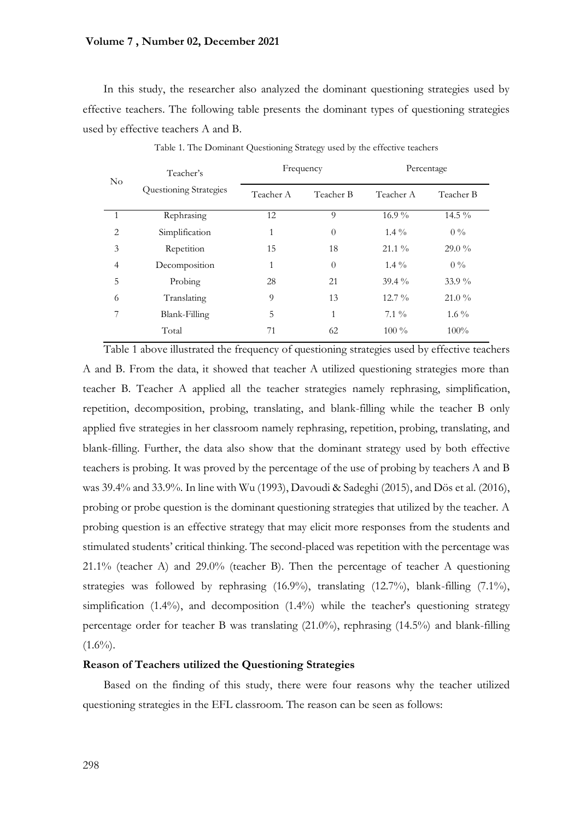## **Volume 7 , Number 02, December 2021**

In this study, the researcher also analyzed the dominant questioning strategies used by effective teachers. The following table presents the dominant types of questioning strategies used by effective teachers A and B.

| $\rm No$       | Teacher's<br>Questioning Strategies | Frequency |              | Percentage |           |
|----------------|-------------------------------------|-----------|--------------|------------|-----------|
|                |                                     | Teacher A | Teacher B    | Teacher A  | Teacher B |
| 1              | Rephrasing                          | 12        | 9            | $16.9\%$   | 14.5 $\%$ |
| $\overline{2}$ | Simplification                      | 1         | $\theta$     | $1.4\%$    | $0\%$     |
| 3              | Repetition                          | 15        | 18           | $21.1\%$   | $29.0\%$  |
| $\overline{4}$ | Decomposition                       | 1         | $\theta$     | $1.4\%$    | $0\%$     |
| 5              | Probing                             | 28        | 21           | $39.4\%$   | $33.9\%$  |
| 6              | Translating                         | 9         | 13           | $12.7\%$   | $21.0\%$  |
| 7              | Blank-Filling                       | 5         | $\mathbf{1}$ | $7.1\%$    | $1.6\%$   |
|                | Total                               | 71        | 62           | $100\%$    | $100\%$   |
|                |                                     |           |              |            |           |

Table 1. The Dominant Questioning Strategy used by the effective teachers

Table 1 above illustrated the frequency of questioning strategies used by effective teachers A and B. From the data, it showed that teacher A utilized questioning strategies more than teacher B. Teacher A applied all the teacher strategies namely rephrasing, simplification, repetition, decomposition, probing, translating, and blank-filling while the teacher B only applied five strategies in her classroom namely rephrasing, repetition, probing, translating, and blank-filling. Further, the data also show that the dominant strategy used by both effective teachers is probing. It was proved by the percentage of the use of probing by teachers A and B was 39.4% and 33.9%. In line with Wu (1993), Davoudi & Sadeghi (2015), and Dös et al. (2016), probing or probe question is the dominant questioning strategies that utilized by the teacher. A probing question is an effective strategy that may elicit more responses from the students and stimulated students' critical thinking. The second-placed was repetition with the percentage was 21.1% (teacher A) and 29.0% (teacher B). Then the percentage of teacher A questioning strategies was followed by rephrasing (16.9%), translating (12.7%), blank-filling (7.1%), simplification  $(1.4\%)$ , and decomposition  $(1.4\%)$  while the teacher's questioning strategy percentage order for teacher B was translating (21.0%), rephrasing (14.5%) and blank-filling  $(1.6\%)$ .

## **Reason of Teachers utilized the Questioning Strategies**

Based on the finding of this study, there were four reasons why the teacher utilized questioning strategies in the EFL classroom. The reason can be seen as follows: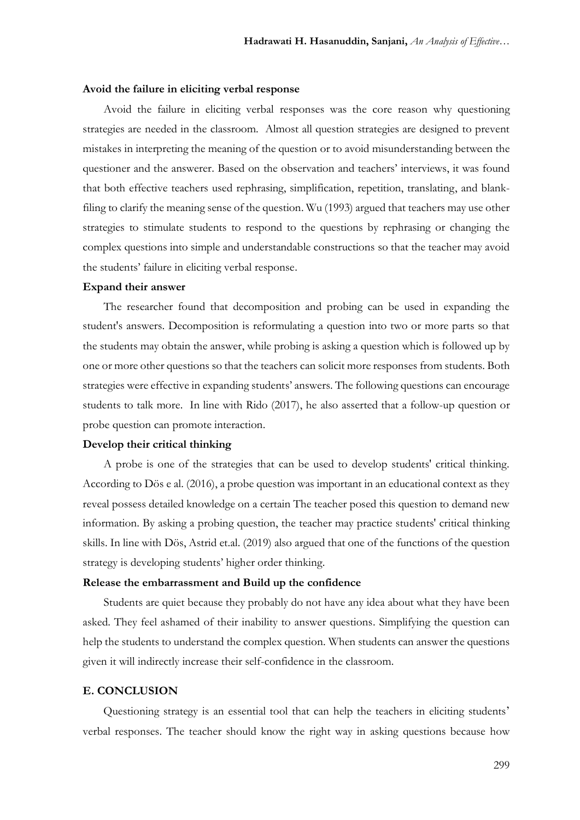#### **Avoid the failure in eliciting verbal response**

Avoid the failure in eliciting verbal responses was the core reason why questioning strategies are needed in the classroom. Almost all question strategies are designed to prevent mistakes in interpreting the meaning of the question or to avoid misunderstanding between the questioner and the answerer. Based on the observation and teachers' interviews, it was found that both effective teachers used rephrasing, simplification, repetition, translating, and blankfiling to clarify the meaning sense of the question. Wu (1993) argued that teachers may use other strategies to stimulate students to respond to the questions by rephrasing or changing the complex questions into simple and understandable constructions so that the teacher may avoid the students' failure in eliciting verbal response.

#### **Expand their answer**

The researcher found that decomposition and probing can be used in expanding the student's answers. Decomposition is reformulating a question into two or more parts so that the students may obtain the answer, while probing is asking a question which is followed up by one or more other questions so that the teachers can solicit more responses from students. Both strategies were effective in expanding students' answers. The following questions can encourage students to talk more. In line with Rido (2017), he also asserted that a follow-up question or probe question can promote interaction.

### **Develop their critical thinking**

A probe is one of the strategies that can be used to develop students' critical thinking. According to Dös e al. (2016), a probe question was important in an educational context as they reveal possess detailed knowledge on a certain The teacher posed this question to demand new information. By asking a probing question, the teacher may practice students' critical thinking skills. In line with Dös, Astrid et.al. (2019) also argued that one of the functions of the question strategy is developing students' higher order thinking.

## **Release the embarrassment and Build up the confidence**

Students are quiet because they probably do not have any idea about what they have been asked. They feel ashamed of their inability to answer questions. Simplifying the question can help the students to understand the complex question. When students can answer the questions given it will indirectly increase their self-confidence in the classroom.

#### **E. CONCLUSION**

Questioning strategy is an essential tool that can help the teachers in eliciting students' verbal responses. The teacher should know the right way in asking questions because how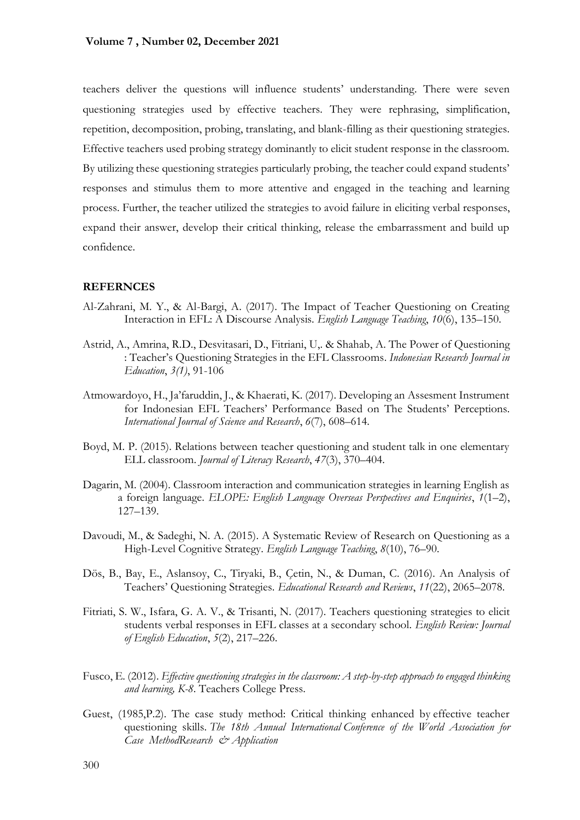teachers deliver the questions will influence students' understanding. There were seven questioning strategies used by effective teachers. They were rephrasing, simplification, repetition, decomposition, probing, translating, and blank-filling as their questioning strategies. Effective teachers used probing strategy dominantly to elicit student response in the classroom. By utilizing these questioning strategies particularly probing, the teacher could expand students' responses and stimulus them to more attentive and engaged in the teaching and learning process. Further, the teacher utilized the strategies to avoid failure in eliciting verbal responses, expand their answer, develop their critical thinking, release the embarrassment and build up confidence.

#### **REFERNCES**

- Al-Zahrani, M. Y., & Al-Bargi, A. (2017). The Impact of Teacher Questioning on Creating Interaction in EFL: A Discourse Analysis. *English Language Teaching*, *10*(6), 135–150.
- Astrid, A., Amrina, R.D., Desvitasari, D., Fitriani, U,. & Shahab, A. The Power of Questioning : Teacher's Questioning Strategies in the EFL Classrooms. *Indonesian Research Journal in Education*, *3(1)*, 91-106
- Atmowardoyo, H., Ja'faruddin, J., & Khaerati, K. (2017). Developing an Assesment Instrument for Indonesian EFL Teachers' Performance Based on The Students' Perceptions. *International Journal of Science and Research*, *6*(7), 608–614.
- Boyd, M. P. (2015). Relations between teacher questioning and student talk in one elementary ELL classroom. *Journal of Literacy Research*, *47*(3), 370–404.
- Dagarin, M. (2004). Classroom interaction and communication strategies in learning English as a foreign language. *ELOPE: English Language Overseas Perspectives and Enquiries*, *1*(1–2), 127–139.
- Davoudi, M., & Sadeghi, N. A. (2015). A Systematic Review of Research on Questioning as a High-Level Cognitive Strategy. *English Language Teaching*, *8*(10), 76–90.
- Dös, B., Bay, E., Aslansoy, C., Tiryaki, B., Çetin, N., & Duman, C. (2016). An Analysis of Teachers' Questioning Strategies. *Educational Research and Reviews*, *11*(22), 2065–2078.
- Fitriati, S. W., Isfara, G. A. V., & Trisanti, N. (2017). Teachers questioning strategies to elicit students verbal responses in EFL classes at a secondary school. *English Review: Journal of English Education*, *5*(2), 217–226.
- Fusco, E. (2012). *Effective questioning strategies in the classroom: A step-by-step approach to engaged thinking and learning, K-8*. Teachers College Press.
- Guest, (1985,P.2). The case study method: Critical thinking enhanced by effective teacher questioning skills. *The 18th Annual International Conference of the World Association for Case MethodResearch & Application*